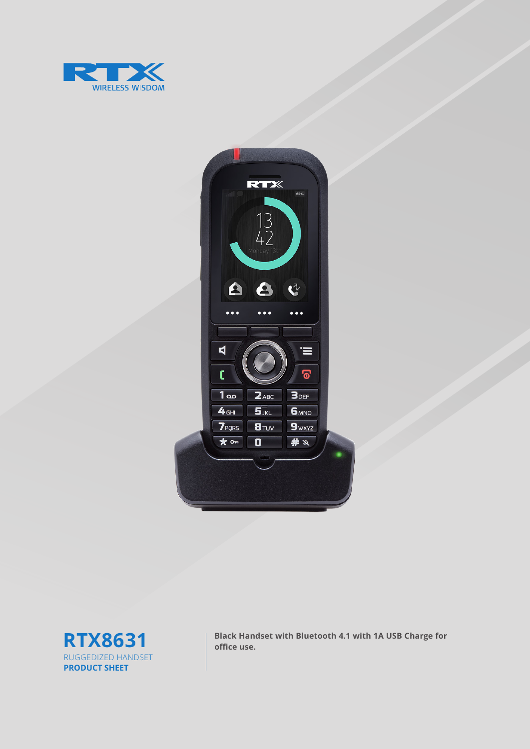





**RTX8631 Black Handset with Bluetooth 4.1 with 1A USB Charge for** office use.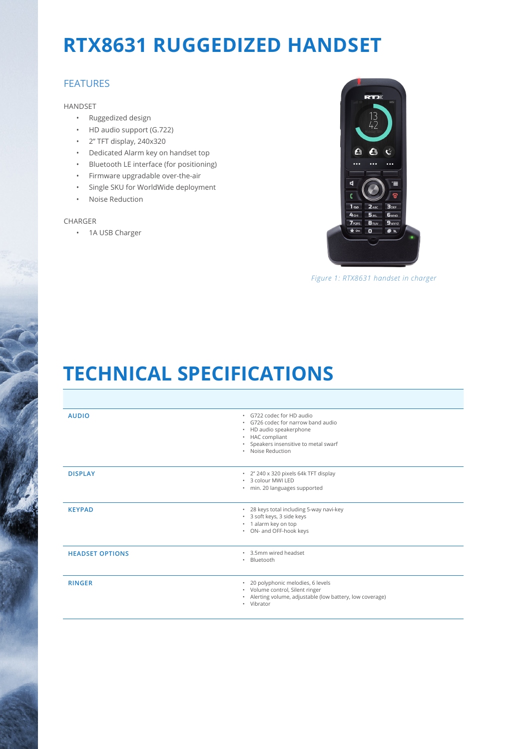## **RTX8631 RUGGEDIZED HANDSET**

### FEATURES

#### HANDSET

- Ruggedized design
- HD audio support (G.722)
- 2'' TFT display, 240x320
- Dedicated Alarm key on handset top
- Bluetooth LE interface (for positioning)
- Firmware upgradable over-the-air
- Single SKU for WorldWide deployment
- Noise Reduction

#### CHARGER

• 1A USB Charger



*Figure 1: RTX8631 handset in charger*

# **TECHNICAL SPECIFICATIONS**

| <b>AUDIO</b>           | · G722 codec for HD audio<br>. G726 codec for narrow band audio<br>• HD audio speakerphone<br>• HAC compliant<br>• Speakers insensitive to metal swarf<br>· Noise Reduction |
|------------------------|-----------------------------------------------------------------------------------------------------------------------------------------------------------------------------|
| <b>DISPLAY</b>         | · 2" 240 x 320 pixels 64k TFT display<br>* 3 colour MWI LED<br>· min. 20 languages supported                                                                                |
| <b>KEYPAD</b>          | * 28 keys total including 5-way navi-key<br>* 3 soft keys, 3 side keys<br>• 1 alarm key on top<br>• ON- and OFF-hook keys                                                   |
| <b>HEADSET OPTIONS</b> | . 3.5mm wired headset<br>Bluetooth<br>٠                                                                                                                                     |
| <b>RINGER</b>          | · 20 polyphonic melodies, 6 levels<br>• Volume control, Silent ringer<br>· Alerting volume, adjustable (low battery, low coverage)<br>• Vibrator                            |